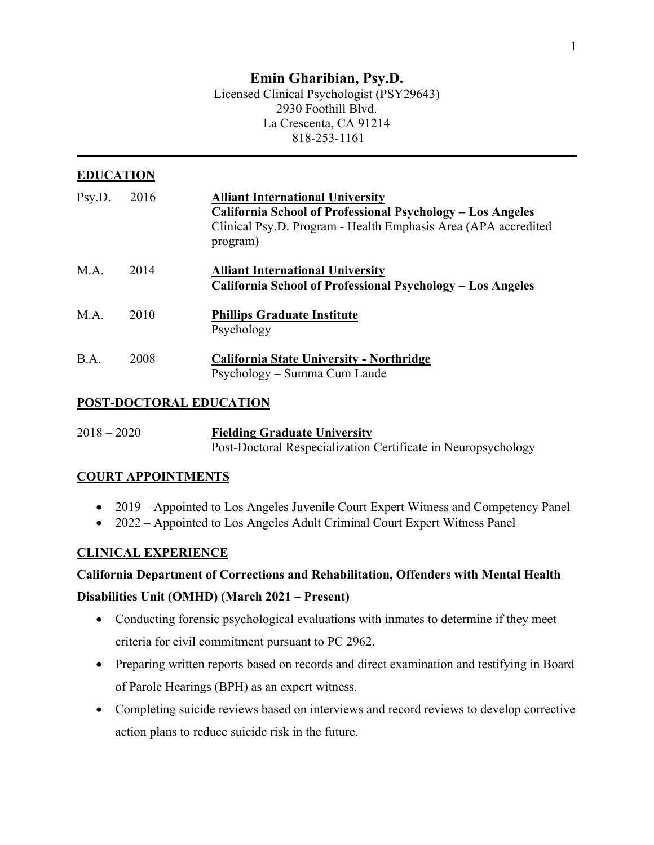# **Emin Gharibian, Psy.D.**

#### Licensed Clinical Psychologist (PSY29643) 2930 Foothill Blvd. La Crescenta, CA 91214 818-253-1161

# **EDUCATION**

| Psy.D. | 2016 | <b>Alliant International University</b><br>California School of Professional Psychology – Los Angeles<br>Clinical Psy.D. Program - Health Emphasis Area (APA accredited<br>program) |
|--------|------|-------------------------------------------------------------------------------------------------------------------------------------------------------------------------------------|
| M.A.   | 2014 | <b>Alliant International University</b><br>California School of Professional Psychology – Los Angeles                                                                               |
| M.A.   | 2010 | <b>Phillips Graduate Institute</b><br>Psychology                                                                                                                                    |
| B.A.   | 2008 | <b>California State University - Northridge</b><br>Psychology – Summa Cum Laude                                                                                                     |

## **POST-DOCTORAL EDUCATION**

2018 – 2020 **Fielding Graduate University** Post-Doctoral Respecialization Certificate in Neuropsychology

## **COURT APPOINTMENTS**

- 2019 Appointed to Los Angeles Juvenile Court Expert Witness and Competency Panel
- 2022 Appointed to Los Angeles Adult Criminal Court Expert Witness Panel

## **CLINICAL EXPERIENCE**

## **California Department of Corrections and Rehabilitation, Offenders with Mental Health**

## **Disabilities Unit (OMHD) (March 2021 – Present)**

- Conducting forensic psychological evaluations with inmates to determine if they meet criteria for civil commitment pursuant to PC 2962.
- Preparing written reports based on records and direct examination and testifying in Board of Parole Hearings (BPH) as an expert witness.
- Completing suicide reviews based on interviews and record reviews to develop corrective action plans to reduce suicide risk in the future.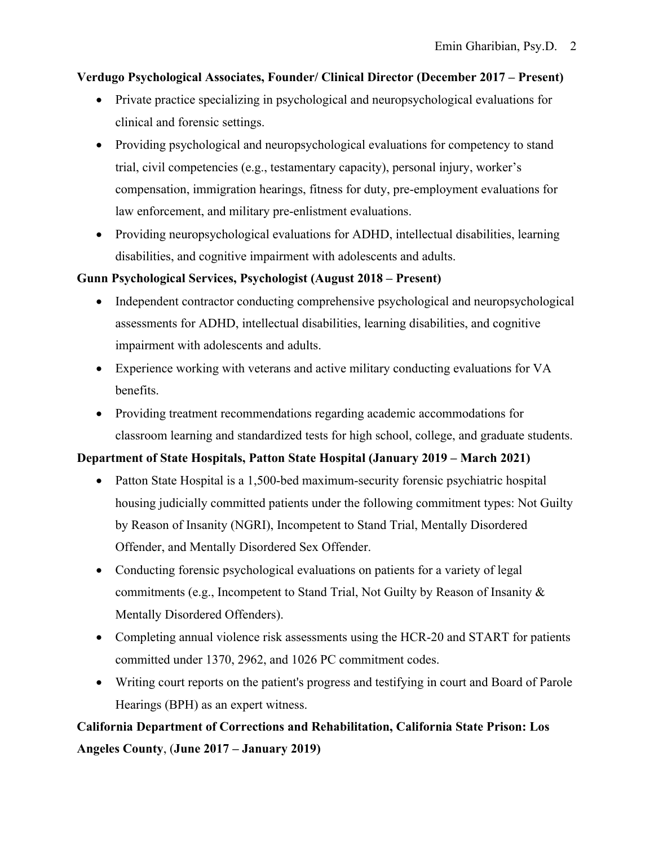## **Verdugo Psychological Associates, Founder/ Clinical Director (December 2017 – Present)**

- Private practice specializing in psychological and neuropsychological evaluations for clinical and forensic settings.
- Providing psychological and neuropsychological evaluations for competency to stand trial, civil competencies (e.g., testamentary capacity), personal injury, worker's compensation, immigration hearings, fitness for duty, pre-employment evaluations for law enforcement, and military pre-enlistment evaluations.
- Providing neuropsychological evaluations for ADHD, intellectual disabilities, learning disabilities, and cognitive impairment with adolescents and adults.

## **Gunn Psychological Services, Psychologist (August 2018 – Present)**

- Independent contractor conducting comprehensive psychological and neuropsychological assessments for ADHD, intellectual disabilities, learning disabilities, and cognitive impairment with adolescents and adults.
- Experience working with veterans and active military conducting evaluations for VA benefits.
- Providing treatment recommendations regarding academic accommodations for classroom learning and standardized tests for high school, college, and graduate students.

# **Department of State Hospitals, Patton State Hospital (January 2019 – March 2021)**

- Patton State Hospital is a 1,500-bed maximum-security forensic psychiatric hospital housing judicially committed patients under the following commitment types: Not Guilty by Reason of Insanity (NGRI), Incompetent to Stand Trial, Mentally Disordered Offender, and Mentally Disordered Sex Offender.
- Conducting forensic psychological evaluations on patients for a variety of legal commitments (e.g., Incompetent to Stand Trial, Not Guilty by Reason of Insanity & Mentally Disordered Offenders).
- Completing annual violence risk assessments using the HCR-20 and START for patients committed under 1370, 2962, and 1026 PC commitment codes.
- Writing court reports on the patient's progress and testifying in court and Board of Parole Hearings (BPH) as an expert witness.

# **California Department of Corrections and Rehabilitation, California State Prison: Los Angeles County**, (**June 2017 – January 2019)**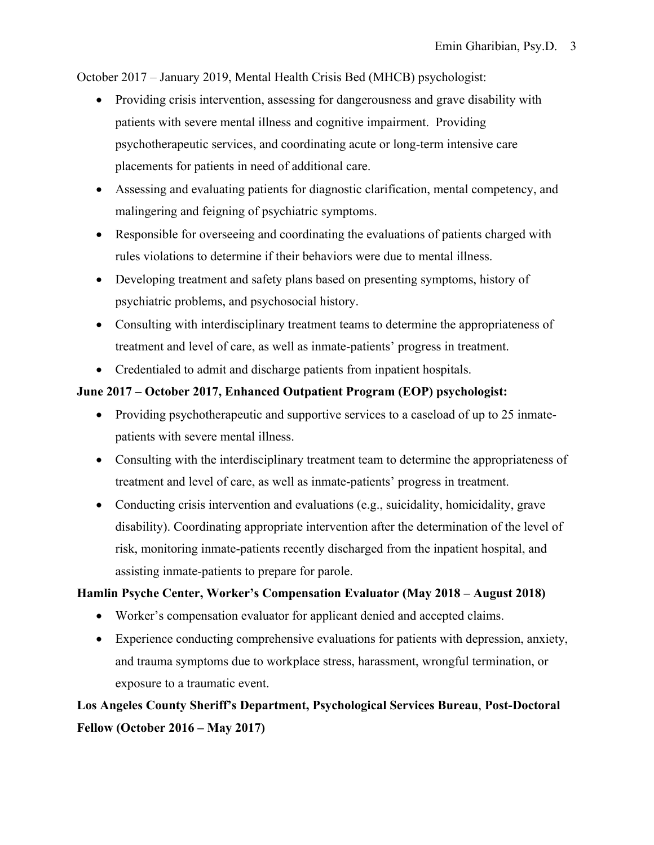October 2017 – January 2019, Mental Health Crisis Bed (MHCB) psychologist:

- Providing crisis intervention, assessing for dangerousness and grave disability with patients with severe mental illness and cognitive impairment. Providing psychotherapeutic services, and coordinating acute or long-term intensive care placements for patients in need of additional care.
- Assessing and evaluating patients for diagnostic clarification, mental competency, and malingering and feigning of psychiatric symptoms.
- Responsible for overseeing and coordinating the evaluations of patients charged with rules violations to determine if their behaviors were due to mental illness.
- Developing treatment and safety plans based on presenting symptoms, history of psychiatric problems, and psychosocial history.
- Consulting with interdisciplinary treatment teams to determine the appropriateness of treatment and level of care, as well as inmate-patients' progress in treatment.
- Credentialed to admit and discharge patients from inpatient hospitals.

## **June 2017 – October 2017, Enhanced Outpatient Program (EOP) psychologist:**

- Providing psychotherapeutic and supportive services to a caseload of up to 25 inmatepatients with severe mental illness.
- Consulting with the interdisciplinary treatment team to determine the appropriateness of treatment and level of care, as well as inmate-patients' progress in treatment.
- Conducting crisis intervention and evaluations (e.g., suicidality, homicidality, grave disability). Coordinating appropriate intervention after the determination of the level of risk, monitoring inmate-patients recently discharged from the inpatient hospital, and assisting inmate-patients to prepare for parole.

## **Hamlin Psyche Center, Worker's Compensation Evaluator (May 2018 – August 2018)**

- Worker's compensation evaluator for applicant denied and accepted claims.
- Experience conducting comprehensive evaluations for patients with depression, anxiety, and trauma symptoms due to workplace stress, harassment, wrongful termination, or exposure to a traumatic event.

**Los Angeles County Sheriff's Department, Psychological Services Bureau**, **Post-Doctoral Fellow (October 2016 – May 2017)**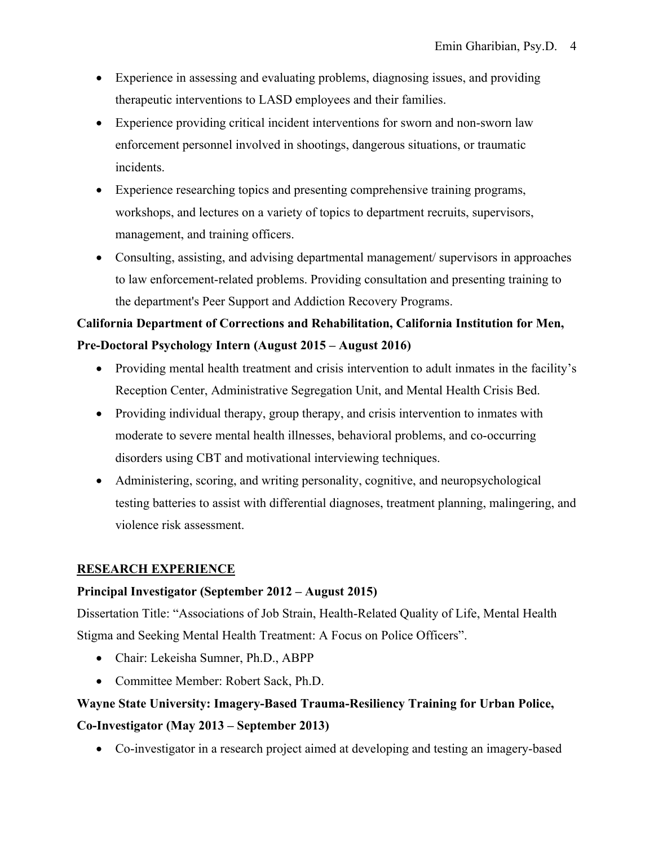- Experience in assessing and evaluating problems, diagnosing issues, and providing therapeutic interventions to LASD employees and their families.
- Experience providing critical incident interventions for sworn and non-sworn law enforcement personnel involved in shootings, dangerous situations, or traumatic incidents.
- Experience researching topics and presenting comprehensive training programs, workshops, and lectures on a variety of topics to department recruits, supervisors, management, and training officers.
- Consulting, assisting, and advising departmental management/ supervisors in approaches to law enforcement-related problems. Providing consultation and presenting training to the department's Peer Support and Addiction Recovery Programs.

# **California Department of Corrections and Rehabilitation, California Institution for Men, Pre-Doctoral Psychology Intern (August 2015 – August 2016)**

- Providing mental health treatment and crisis intervention to adult inmates in the facility's Reception Center, Administrative Segregation Unit, and Mental Health Crisis Bed.
- Providing individual therapy, group therapy, and crisis intervention to inmates with moderate to severe mental health illnesses, behavioral problems, and co-occurring disorders using CBT and motivational interviewing techniques.
- Administering, scoring, and writing personality, cognitive, and neuropsychological testing batteries to assist with differential diagnoses, treatment planning, malingering, and violence risk assessment.

# **RESEARCH EXPERIENCE**

## **Principal Investigator (September 2012 – August 2015)**

Dissertation Title: "Associations of Job Strain, Health-Related Quality of Life, Mental Health Stigma and Seeking Mental Health Treatment: A Focus on Police Officers".

- Chair: Lekeisha Sumner, Ph.D., ABPP
- Committee Member: Robert Sack, Ph.D.

# **Wayne State University: Imagery-Based Trauma-Resiliency Training for Urban Police, Co-Investigator (May 2013 – September 2013)**

• Co-investigator in a research project aimed at developing and testing an imagery-based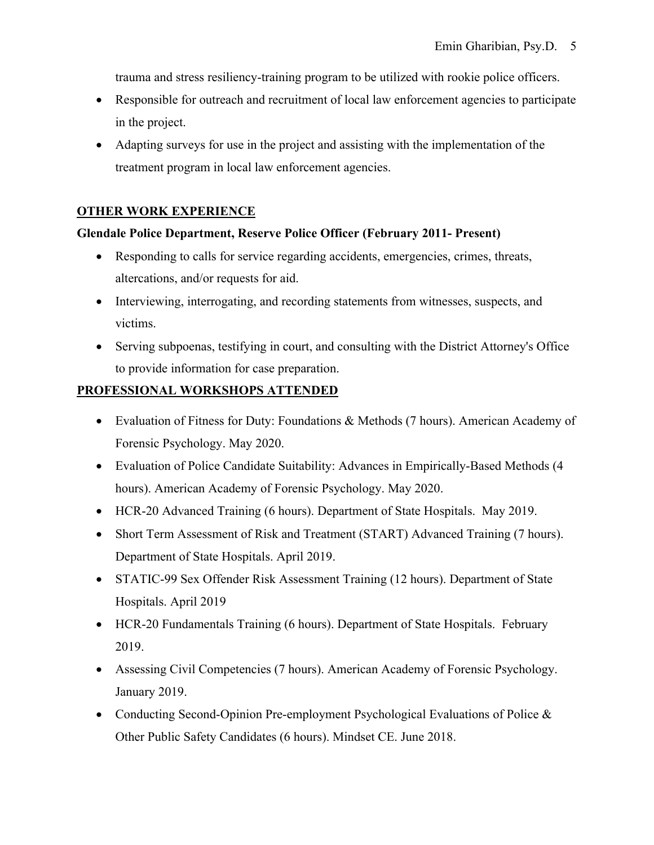trauma and stress resiliency-training program to be utilized with rookie police officers.

- Responsible for outreach and recruitment of local law enforcement agencies to participate in the project.
- Adapting surveys for use in the project and assisting with the implementation of the treatment program in local law enforcement agencies.

## **OTHER WORK EXPERIENCE**

#### **Glendale Police Department, Reserve Police Officer (February 2011- Present)**

- Responding to calls for service regarding accidents, emergencies, crimes, threats, altercations, and/or requests for aid.
- Interviewing, interrogating, and recording statements from witnesses, suspects, and victims.
- Serving subpoenas, testifying in court, and consulting with the District Attorney's Office to provide information for case preparation.

# **PROFESSIONAL WORKSHOPS ATTENDED**

- Evaluation of Fitness for Duty: Foundations & Methods (7 hours). American Academy of Forensic Psychology. May 2020.
- Evaluation of Police Candidate Suitability: Advances in Empirically-Based Methods (4 hours). American Academy of Forensic Psychology. May 2020.
- HCR-20 Advanced Training (6 hours). Department of State Hospitals. May 2019.
- Short Term Assessment of Risk and Treatment (START) Advanced Training (7 hours). Department of State Hospitals. April 2019.
- STATIC-99 Sex Offender Risk Assessment Training (12 hours). Department of State Hospitals. April 2019
- HCR-20 Fundamentals Training (6 hours). Department of State Hospitals. February 2019.
- Assessing Civil Competencies (7 hours). American Academy of Forensic Psychology. January 2019.
- Conducting Second-Opinion Pre-employment Psychological Evaluations of Police & Other Public Safety Candidates (6 hours). Mindset CE. June 2018.